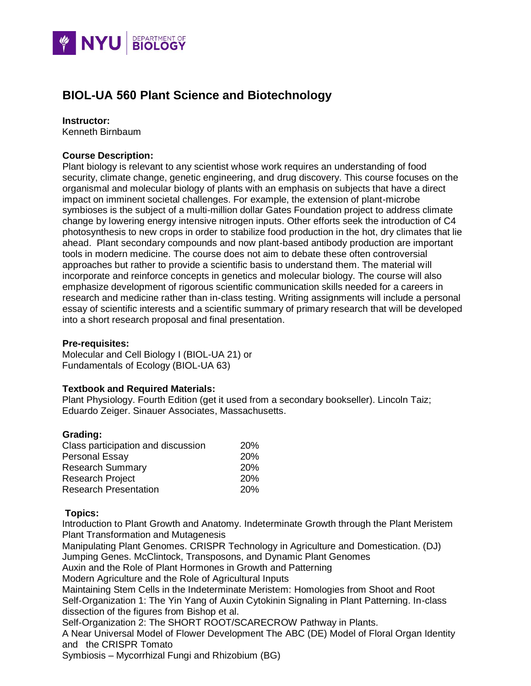

# **BIOL-UA 560 Plant Science and Biotechnology**

#### **Instructor:**

Kenneth Birnbaum

## **Course Description:**

Plant biology is relevant to any scientist whose work requires an understanding of food security, climate change, genetic engineering, and drug discovery. This course focuses on the organismal and molecular biology of plants with an emphasis on subjects that have a direct impact on imminent societal challenges. For example, the extension of plant-microbe symbioses is the subject of a multi-million dollar Gates Foundation project to address climate change by lowering energy intensive nitrogen inputs. Other efforts seek the introduction of C4 photosynthesis to new crops in order to stabilize food production in the hot, dry climates that lie ahead. Plant secondary compounds and now plant-based antibody production are important tools in modern medicine. The course does not aim to debate these often controversial approaches but rather to provide a scientific basis to understand them. The material will incorporate and reinforce concepts in genetics and molecular biology. The course will also emphasize development of rigorous scientific communication skills needed for a careers in research and medicine rather than in-class testing. Writing assignments will include a personal essay of scientific interests and a scientific summary of primary research that will be developed into a short research proposal and final presentation.

#### **Pre-requisites:**

Molecular and Cell Biology I (BIOL-UA 21) or Fundamentals of Ecology (BIOL-UA 63)

## **Textbook and Required Materials:**

Plant Physiology. Fourth Edition (get it used from a secondary bookseller). Lincoln Taiz; Eduardo Zeiger. Sinauer Associates, Massachusetts.

#### **Grading:**

| <b>20%</b> |
|------------|
| <b>20%</b> |
| <b>20%</b> |
| <b>20%</b> |
| <b>20%</b> |
|            |

## **Topics:**

Introduction to Plant Growth and Anatomy. Indeterminate Growth through the Plant Meristem Plant Transformation and Mutagenesis

Manipulating Plant Genomes. CRISPR Technology in Agriculture and Domestication. (DJ) Jumping Genes. McClintock, Transposons, and Dynamic Plant Genomes

Auxin and the Role of Plant Hormones in Growth and Patterning

Modern Agriculture and the Role of Agricultural Inputs

Maintaining Stem Cells in the Indeterminate Meristem: Homologies from Shoot and Root Self-Organization 1: The Yin Yang of Auxin Cytokinin Signaling in Plant Patterning. In-class dissection of the figures from Bishop et al.

Self-Organization 2: The SHORT ROOT/SCARECROW Pathway in Plants.

A Near Universal Model of Flower Development The ABC (DE) Model of Floral Organ Identity and the CRISPR Tomato

Symbiosis – Mycorrhizal Fungi and Rhizobium (BG)